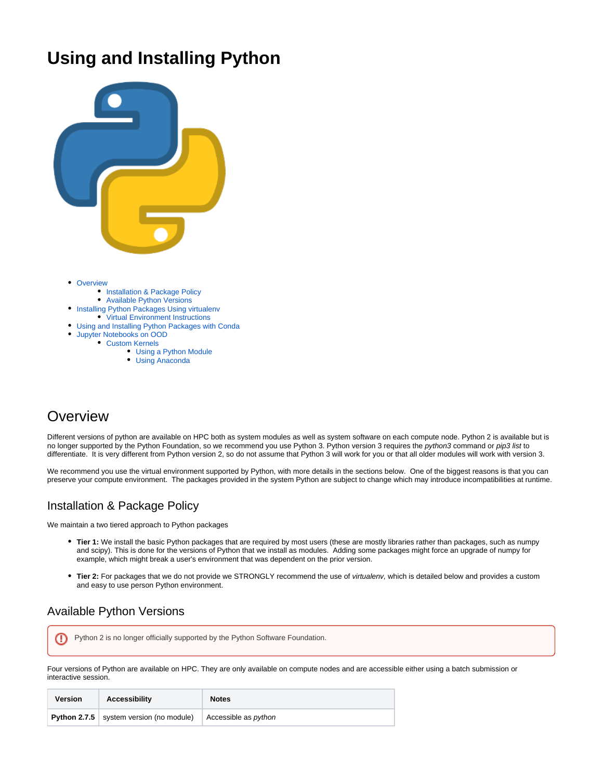# **Using and Installing Python**



- [Overview](#page-0-0)
	- **[Installation & Package Policy](#page-0-1)**
	- [Available Python Versions](#page-0-2)
- [Installing Python Packages Using virtualenv](#page-1-0)
- [Virtual Environment Instructions](#page-1-1)
- [Using and Installing Python Packages with Conda](#page-2-0)
- $\bullet$ [Jupyter Notebooks on OOD](#page-2-1)
	- [Custom Kernels](#page-2-2)
		- [Using a Python Module](#page-3-0)
		- [Using Anaconda](#page-3-1)

# <span id="page-0-0"></span>**Overview**

Different versions of python are available on HPC both as system modules as well as system software on each compute node. Python 2 is available but is no longer supported by the Python Foundation, so we recommend you use Python 3. Python version 3 requires the python3 command or pip3 list to differentiate. It is very different from Python version 2, so do not assume that Python 3 will work for you or that all older modules will work with version 3.

We recommend you use the virtual environment supported by Python, with more details in the sections below. One of the biggest reasons is that you can preserve your compute environment. The packages provided in the system Python are subject to change which may introduce incompatibilities at runtime.

## <span id="page-0-1"></span>Installation & Package Policy

We maintain a two tiered approach to Python packages

- **Tier 1:** We install the basic Python packages that are required by most users (these are mostly libraries rather than packages, such as numpy and scipy). This is done for the versions of Python that we install as modules. Adding some packages might force an upgrade of numpy for example, which might break a user's environment that was dependent on the prior version.
- **Tier 2:** For packages that we do not provide we STRONGLY recommend the use of virtualenv, which is detailed below and provides a custom and easy to use person Python environment.

## <span id="page-0-2"></span>Available Python Versions

Python 2 is no longer officially supported by the Python Software Foundation.⋒

Four versions of Python are available on HPC. They are only available on compute nodes and are accessible either using a batch submission or interactive session.

| Version | Accessibility                             | <b>Notes</b>                |
|---------|-------------------------------------------|-----------------------------|
|         | Python 2.7.5   system version (no module) | Accessible as <i>python</i> |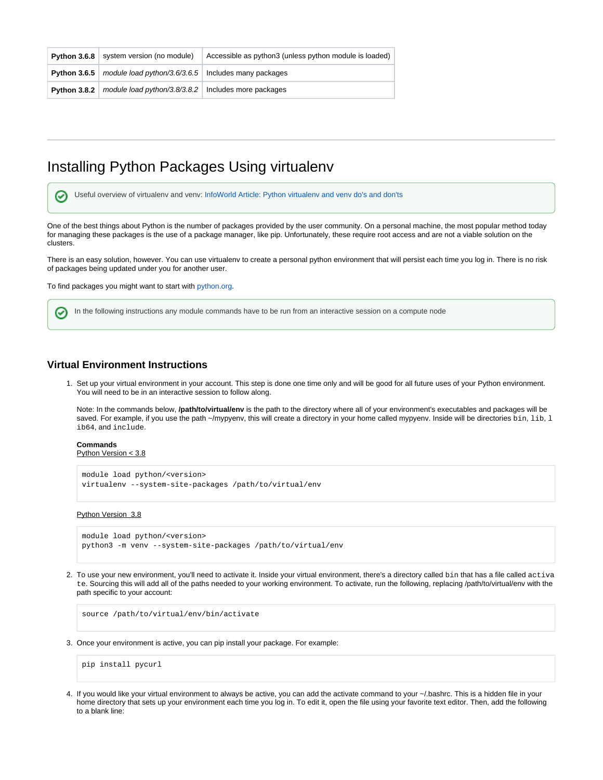| <b>Python 3.6.8</b> system version (no module)                              | Accessible as python3 (unless python module is loaded) |
|-----------------------------------------------------------------------------|--------------------------------------------------------|
| <b>Python 3.6.5</b>   module load python/3.6/3.6.5   Includes many packages |                                                        |
| <b>Python 3.8.2</b>   module load python/3.8/3.8.2   Includes more packages |                                                        |

# <span id="page-1-0"></span>Installing Python Packages Using virtualenv

Useful overview of virtualenv and venv: [InfoWorld Article: Python virtualenv and venv do's and don'ts](https://www.infoworld.com/article/3306656/python/python-virtualenv-and-venv-dos-and-donts.html?idg_eid=33b8cb1248bcd5c9ddcec9cbccd1b5cb&email_SHA1_lc=579ec7d94c8828baab0995f0b5d55ab21c1a5f2a&cid=ifw_nlt_infoworld_daily_2018-09-19&utm_source=Sailthru&utm_medium=email&utm_campaign=InfoWorld%20Daily:%20Weekday%20Edition%202018-09-19&utm_term=infoworld_daily)  ⊘

One of the best things about Python is the number of packages provided by the user community. On a personal machine, the most popular method today for managing these packages is the use of a package manager, like pip. Unfortunately, these require root access and are not a viable solution on the clusters.

There is an easy solution, however. You can use virtualenv to create a personal python environment that will persist each time you log in. There is no risk of packages being updated under you for another user.

To find packages you might want to start with [python.org.](http://www.python.org)

In the following instructions any module commands have to be run from an interactive session on a compute node

### <span id="page-1-1"></span>**Virtual Environment Instructions**

1. Set up your virtual environment in your account. This step is done one time only and will be good for all future uses of your Python environment. You will need to be in an interactive session to follow along.

Note: In the commands below, **/path/to/virtual/env** is the path to the directory where all of your environment's executables and packages will be saved. For example, if you use the path ~/mypyenv, this will create a directory in your home called mypyenv. Inside will be directories bin, lib, l ib64, and include.

## **Commands**

の

Python Version < 3.8

```
module load python/<version>
virtualenv --system-site-packages /path/to/virtual/env
```
#### Python Version 3.8

```
module load python/<version>
python3 -m venv --system-site-packages /path/to/virtual/env
```
2. To use your new environment, you'll need to activate it. Inside your virtual environment, there's a directory called bin that has a file called activa te. Sourcing this will add all of the paths needed to your working environment. To activate, run the following, replacing /path/to/virtual/env with the path specific to your account:

source /path/to/virtual/env/bin/activate

3. Once your environment is active, you can pip install your package. For example:

pip install pycurl

4. If you would like your virtual environment to always be active, you can add the activate command to your ~/.bashrc. This is a hidden file in your home directory that sets up your environment each time you log in. To edit it, open the file using your favorite text editor. Then, add the following to a blank line: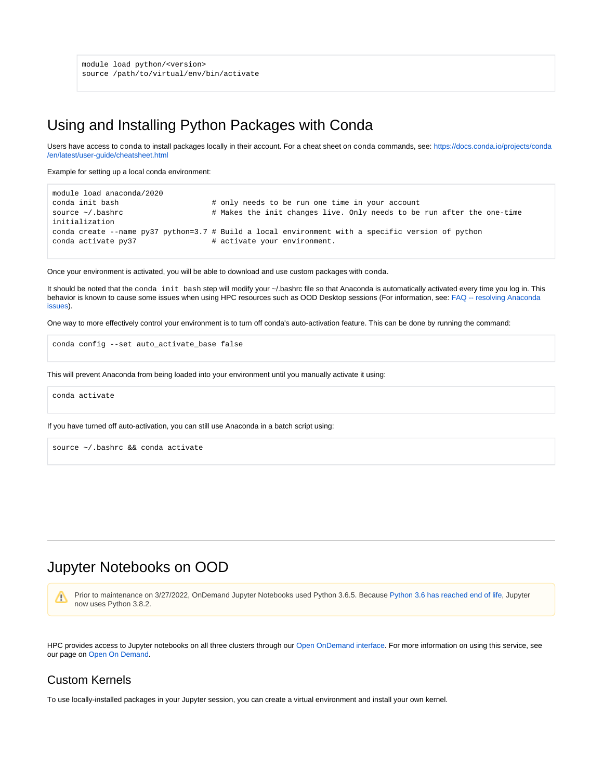module load python/<version> source /path/to/virtual/env/bin/activate

# <span id="page-2-0"></span>Using and Installing Python Packages with Conda

Users have access to conda to install packages locally in their account. For a cheat sheet on conda commands, see: [https://docs.conda.io/projects/conda](https://docs.conda.io/projects/conda/en/latest/user-guide/cheatsheet.html) [/en/latest/user-guide/cheatsheet.html](https://docs.conda.io/projects/conda/en/latest/user-guide/cheatsheet.html)

Example for setting up a local conda environment:

```
module load anaconda/2020
conda init bash \# only needs to be run one time in your account
source ~/.bashrc \rightarrow # Makes the init changes live. Only needs to be run after the one-time
initialization 
conda create --name py37 python=3.7 # Build a local environment with a specific version of python
conda activate py37 + activate your environment.
```
Once your environment is activated, you will be able to download and use custom packages with conda.

It should be noted that the conda init bash step will modify your ~/.bashrc file so that Anaconda is automatically activated every time you log in. This behavior is known to cause some issues when using HPC resources such as OOD Desktop sessions (For information, see: [FAQ -- resolving Anaconda](https://public.confluence.arizona.edu/display/UAHPC/FAQ#FAQ-Q.OODDesktopfailurewith%22Couldnotconnecttosessionbus:failedtoconnecttosocket/tmp/dbus-%E2%80%9D)  [issues](https://public.confluence.arizona.edu/display/UAHPC/FAQ#FAQ-Q.OODDesktopfailurewith%22Couldnotconnecttosessionbus:failedtoconnecttosocket/tmp/dbus-%E2%80%9D)).

One way to more effectively control your environment is to turn off conda's auto-activation feature. This can be done by running the command:

conda config --set auto\_activate\_base false

This will prevent Anaconda from being loaded into your environment until you manually activate it using:

conda activate

If you have turned off auto-activation, you can still use Anaconda in a batch script using:

source ~/.bashrc && conda activate

# <span id="page-2-1"></span>Jupyter Notebooks on OOD

Prior to maintenance on 3/27/2022, OnDemand Jupyter Notebooks used Python 3.6.5. Because [Python 3.6 has reached end of life,](https://endoflife.date/python) Jupyter M now uses Python 3.8.2.

HPC provides access to Jupyter notebooks on all three clusters through our [Open OnDemand interface.](https://public.confluence.arizona.edu/display/UAHPC/Open+On+Demand) For more information on using this service, see our page on [Open On Demand.](https://public.confluence.arizona.edu/display/UAHPC/Open+On+Demand)

## <span id="page-2-2"></span>Custom Kernels

To use locally-installed packages in your Jupyter session, you can create a virtual environment and install your own kernel.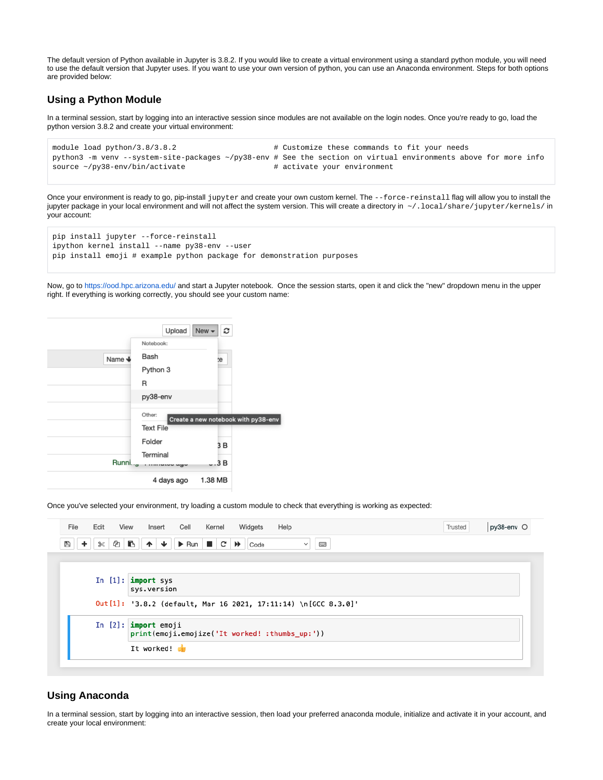The default version of Python available in Jupyter is 3.8.2. If you would like to create a virtual environment using a standard python module, you will need to use the default version that Jupyter uses. If you want to use your own version of python, you can use an Anaconda environment. Steps for both options are provided below:

### <span id="page-3-0"></span>**Using a Python Module**

In a terminal session, start by logging into an interactive session since modules are not available on the login nodes. Once you're ready to go, load the python version 3.8.2 and create your virtual environment:

```
module load python/3.8/3.8.2 <br># Customize these commands to fit your needs
python3 -m venv --system-site-packages ~/py38-env # See the section on virtual environments above for more info
source \sim/py38-env/bin/activate \qquad # activate your environment
```
Once your environment is ready to go, pip-install jupyter and create your own custom kernel. The --force-reinstall flag will allow you to install the jupyter package in your local environment and will not affect the system version. This will create a directory in  $\sim/1$ ocal/share/jupyter/kernels/ in your account:

```
pip install jupyter --force-reinstall
ipython kernel install --name py38-env --user
pip install emoji # example python package for demonstration purposes
```
Now, go to <https://ood.hpc.arizona.edu/>and start a Jupyter notebook. Once the session starts, open it and click the "new" dropdown menu in the upper right. If everything is working correctly, you should see your custom name:



Once you've selected your environment, try loading a custom module to check that everything is working as expected:

| File<br>Edit<br>View                                                      | Kernel<br>Insert<br>Cell<br>Widgets<br>Help                                                                                                                                                                                                                                                                                                                                                                                             | Trusted | py38-env O |  |
|---------------------------------------------------------------------------|-----------------------------------------------------------------------------------------------------------------------------------------------------------------------------------------------------------------------------------------------------------------------------------------------------------------------------------------------------------------------------------------------------------------------------------------|---------|------------|--|
| $\ddot{}$<br>৯≪<br>₿                                                      | $\bigcirc$ $\bigcirc$ $\bigcirc$ $\bigcirc$ $\bigcirc$ $\bigcirc$ $\bigcirc$ $\bigcirc$ $\bigcirc$ $\bigcirc$ $\bigcirc$ $\bigcirc$ $\bigcirc$ $\bigcirc$ $\bigcirc$ $\bigcirc$ $\bigcirc$ $\bigcirc$ $\bigcirc$ $\bigcirc$ $\bigcirc$ $\bigcirc$ $\bigcirc$ $\bigcirc$ $\bigcirc$ $\bigcirc$ $\bigcirc$ $\bigcirc$ $\bigcirc$ $\bigcirc$ $\bigcirc$ $\bigcirc$ $\bigcirc$ $\bigcirc$ $\bigcirc$ $\bigcirc$ $\bigcirc$<br>$\frac{1}{2}$ |         |            |  |
|                                                                           |                                                                                                                                                                                                                                                                                                                                                                                                                                         |         |            |  |
|                                                                           | In $[1]$ : import sys<br>sys.version                                                                                                                                                                                                                                                                                                                                                                                                    |         |            |  |
|                                                                           | 0ut[1]: '3.8.2 (default, Mar 16 2021, 17:11:14) \n[GCC 8.3.0]'                                                                                                                                                                                                                                                                                                                                                                          |         |            |  |
| In $[2]$ : import emoji<br>print(emoji.emojize('It worked! :thumbs_up:')) |                                                                                                                                                                                                                                                                                                                                                                                                                                         |         |            |  |
|                                                                           | It worked!                                                                                                                                                                                                                                                                                                                                                                                                                              |         |            |  |

### <span id="page-3-1"></span>**Using Anaconda**

In a terminal session, start by logging into an interactive session, then load your preferred anaconda module, initialize and activate it in your account, and create your local environment: